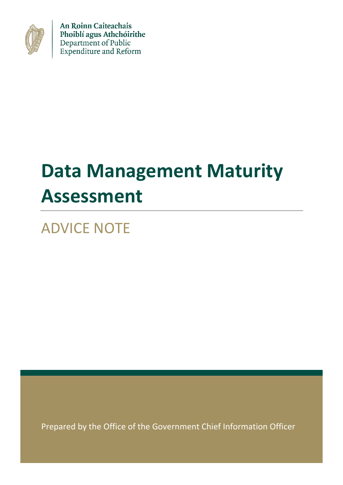

An Roinn Caiteachais Phoiblí agus Athchóirithe Department of Public Expenditure and Reform

# **Data Management Maturity Assessment**

ADVICE NOTE

Prepared by the Office of the Government Chief Information Officer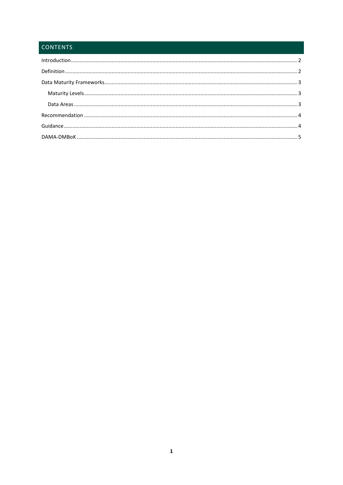# **CONTENTS**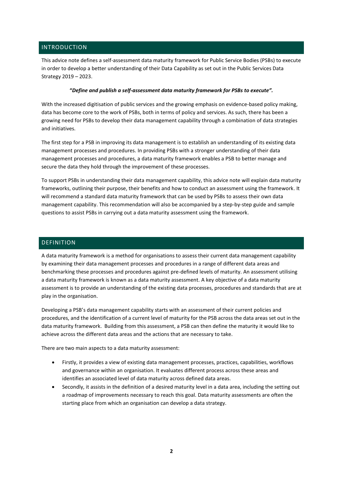# <span id="page-2-0"></span>INTRODUCTION

This advice note defines a self-assessment data maturity framework for Public Service Bodies (PSBs) to execute in order to develop a better understanding of their Data Capability as set out in the Public Services Data Strategy 2019 – 2023.

#### **"***Define and publish a self-assessment data maturity framework for PSBs to execute".*

With the increased digitisation of public services and the growing emphasis on evidence-based policy making, data has become core to the work of PSBs, both in terms of policy and services. As such, there has been a growing need for PSBs to develop their data management capability through a combination of data strategies and initiatives.

The first step for a PSB in improving its data management is to establish an understanding of its existing data management processes and procedures. In providing PSBs with a stronger understanding of their data management processes and procedures, a data maturity framework enables a PSB to better manage and secure the data they hold through the improvement of these processes.

To support PSBs in understanding their data management capability, this advice note will explain data maturity frameworks, outlining their purpose, their benefits and how to conduct an assessment using the framework. It will recommend a standard data maturity framework that can be used by PSBs to assess their own data management capability. This recommendation will also be accompanied by a step-by-step guide and sample questions to assist PSBs in carrying out a data maturity assessment using the framework.

#### <span id="page-2-1"></span>DEFINITION

A data maturity framework is a method for organisations to assess their current data management capability by examining their data management processes and procedures in a range of different data areas and benchmarking these processes and procedures against pre-defined levels of maturity. An assessment utilising a data maturity framework is known as a data maturity assessment. A key objective of a data maturity assessment is to provide an understanding of the existing data processes, procedures and standards that are at play in the organisation.

Developing a PSB's data management capability starts with an assessment of their current policies and procedures, and the identification of a current level of maturity for the PSB across the data areas set out in the data maturity framework. Building from this assessment, a PSB can then define the maturity it would like to achieve across the different data areas and the actions that are necessary to take.

There are two main aspects to a data maturity assessment:

- Firstly, it provides a view of existing data management processes, practices, capabilities, workflows and governance within an organisation. It evaluates different process across these areas and identifies an associated level of data maturity across defined data areas.
- Secondly, it assists in the definition of a desired maturity level in a data area, including the setting out a roadmap of improvements necessary to reach this goal. Data maturity assessments are often the starting place from which an organisation can develop a data strategy.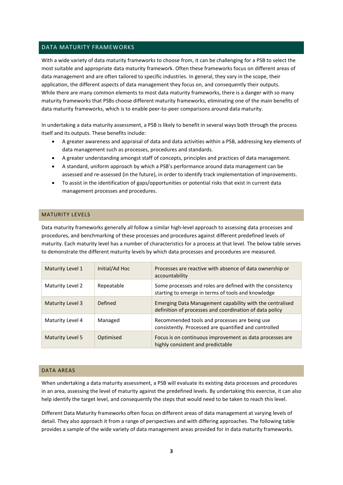#### <span id="page-3-0"></span>DATA MATURITY FRAMEWORKS

With a wide variety of data maturity frameworks to choose from, it can be challenging for a PSB to select the most suitable and appropriate data maturity framework. Often these frameworks focus on different areas of data management and are often tailored to specific industries. In general, they vary in the scope, their application, the different aspects of data management they focus on, and consequently their outputs. While there are many common elements to most data maturity frameworks, there is a danger with so many maturity frameworks that PSBs choose different maturity frameworks, eliminating one of the main benefits of data maturity frameworks, which is to enable peer-to-peer comparisons around data maturity.

In undertaking a data maturity assessment, a PSB is likely to benefit in several ways both through the process itself and its outputs. These benefits include:

- A greater awareness and appraisal of data and data activities within a PSB, addressing key elements of data management such as processes, procedures and standards.
- A greater understanding amongst staff of concepts, principles and practices of data management.
- A standard, uniform approach by which a PSB's performance around data management can be assessed and re-assessed (in the future), in order to identify track implementation of improvements.
- To assist in the identification of gaps/opportunities or potential risks that exist in current data management processes and procedures.

#### <span id="page-3-1"></span>MATURITY LEVELS

Data maturity frameworks generally all follow a similar high-level approach to assessing data processes and procedures, and benchmarking of these processes and procedures against different predefined levels of maturity. Each maturity level has a number of characteristics for a process at that level. The below table serves to demonstrate the different maturity levels by which data processes and procedures are measured.

| Maturity Level 1 | Initial/Ad Hoc | Processes are reactive with absence of data ownership or<br>accountability                                          |  |
|------------------|----------------|---------------------------------------------------------------------------------------------------------------------|--|
| Maturity Level 2 | Repeatable     | Some processes and roles are defined with the consistency<br>starting to emerge in terms of tools and knowledge     |  |
| Maturity Level 3 | Defined        | Emerging Data Management capability with the centralised<br>definition of processes and coordination of data policy |  |
| Maturity Level 4 | Managed        | Recommended tools and processes are being use<br>consistently. Processed are quantified and controlled              |  |
| Maturity Level 5 | Optimised      | Focus is on continuous improvement as data processes are<br>highly consistent and predictable                       |  |

#### <span id="page-3-2"></span>DATA AREAS

When undertaking a data maturity assessment, a PSB will evaluate its existing data processes and procedures in an area, assessing the level of maturity against the predefined levels. By undertaking this exercise, it can also help identify the target level, and consequently the steps that would need to be taken to reach this level.

Different Data Maturity frameworks often focus on different areas of data management at varying levels of detail. They also approach it from a range of perspectives and with differing approaches. The following table provides a sample of the wide variety of data management areas provided for in data maturity frameworks.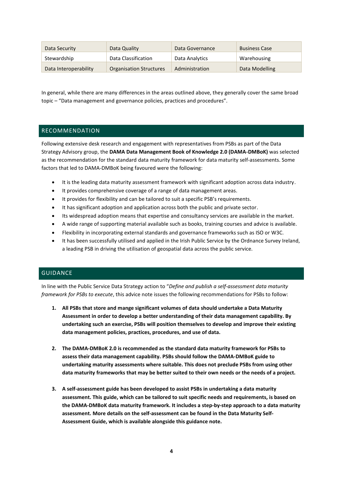| Data Security         | Data Quality                   | Data Governance | <b>Business Case</b> |
|-----------------------|--------------------------------|-----------------|----------------------|
| Stewardship           | Data Classification            | Data Analytics  | Warehousing          |
| Data Interoperability | <b>Organisation Structures</b> | Administration  | Data Modelling       |

In general, while there are many differences in the areas outlined above, they generally cover the same broad topic – "Data management and governance policies, practices and procedures".

#### <span id="page-4-0"></span>RECOMMENDATION

Following extensive desk research and engagement with representatives from PSBs as part of the Data Strategy Advisory group, the **DAMA Data Management Book of Knowledge 2.0 (DAMA-DMBoK)** was selected as the recommendation for the standard data maturity framework for data maturity self-assessments. Some factors that led to DAMA-DMBoK being favoured were the following:

- It is the leading data maturity assessment framework with significant adoption across data industry.
- It provides comprehensive coverage of a range of data management areas.
- It provides for flexibility and can be tailored to suit a specific PSB's requirements.
- It has significant adoption and application across both the public and private sector.
- Its widespread adoption means that expertise and consultancy services are available in the market.
- A wide range of supporting material available such as books, training courses and advice is available.
- Flexibility in incorporating external standards and governance frameworks such as ISO or W3C.
- It has been successfully utilised and applied in the Irish Public Service by the Ordnance Survey Ireland, a leading PSB in driving the utilisation of geospatial data across the public service.

# <span id="page-4-1"></span>GUIDANCE

In line with the Public Service Data Strategy action to "*Define and publish a self-assessment data maturity framework for PSBs to execute*, this advice note issues the following recommendations for PSBs to follow:

- **1. All PSBs that store and mange significant volumes of data should undertake a Data Maturity Assessment in order to develop a better understanding of their data management capability. By undertaking such an exercise, PSBs will position themselves to develop and improve their existing data management policies, practices, procedures, and use of data.**
- **2. The DAMA-DMBoK 2.0 is recommended as the standard data maturity framework for PSBs to assess their data management capability. PSBs should follow the DAMA-DMBoK guide to undertaking maturity assessments where suitable. This does not preclude PSBs from using other data maturity frameworks that may be better suited to their own needs or the needs of a project.**
- **3. A self-assessment guide has been developed to assist PSBs in undertaking a data maturity assessment. This guide, which can be tailored to suit specific needs and requirements, is based on the DAMA-DMBoK data maturity framework. It includes a step-by-step approach to a data maturity assessment. More details on the self-assessment can be found in the Data Maturity Self-Assessment Guide, which is available alongside this guidance note.**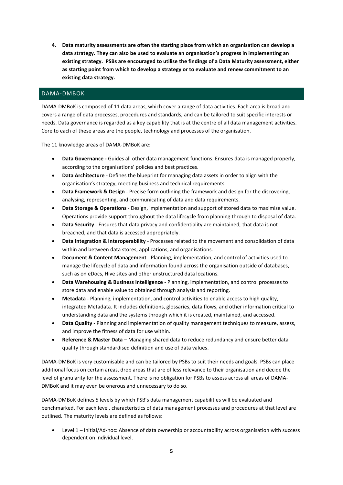**4. Data maturity assessments are often the starting place from which an organisation can develop a data strategy. They can also be used to evaluate an organisation's progress in implementing an existing strategy. PSBs are encouraged to utilise the findings of a Data Maturity assessment, either as starting point from which to develop a strategy or to evaluate and renew commitment to an existing data strategy.** 

## <span id="page-5-0"></span>DAMA-DMBOK

DAMA-DMBoK is composed of 11 data areas, which cover a range of data activities. Each area is broad and covers a range of data processes, procedures and standards, and can be tailored to suit specific interests or needs. Data governance is regarded as a key capability that is at the centre of all data management activities. Core to each of these areas are the people, technology and processes of the organisation.

The 11 knowledge areas of DAMA-DMBoK are:

- **Data Governance -** Guides all other data management functions. Ensures data is managed properly, according to the organisations' policies and best practices.
- **Data Architecture** Defines the blueprint for managing data assets in order to align with the organisation's strategy, meeting business and technical requirements.
- **Data Framework & Design** Precise form outlining the framework and design for the discovering, analysing, representing, and communicating of data and data requirements.
- **Data Storage & Operations** Design, implementation and support of stored data to maximise value. Operations provide support throughout the data lifecycle from planning through to disposal of data.
- **Data Security** Ensures that data privacy and confidentiality are maintained, that data is not breached, and that data is accessed appropriately.
- **Data Integration & Interoperability** Processes related to the movement and consolidation of data within and between data stores, applications, and organisations.
- **Document & Content Management** Planning, implementation, and control of activities used to manage the lifecycle of data and information found across the organisation outside of databases, such as on eDocs, Hive sites and other unstructured data locations.
- **Data Warehousing & Business Intelligence** Planning, implementation, and control processes to store data and enable value to obtained through analysis and reporting.
- **Metadata** Planning, implementation, and control activities to enable access to high quality, integrated Metadata. It includes definitions, glossaries, data flows, and other information critical to understanding data and the systems through which it is created, maintained, and accessed.
- **Data Quality** Planning and implementation of quality management techniques to measure, assess, and improve the fitness of data for use within.
- **Reference & Master Data** Managing shared data to reduce redundancy and ensure better data quality through standardised definition and use of data values.

DAMA-DMBoK is very customisable and can be tailored by PSBs to suit their needs and goals. PSBs can place additional focus on certain areas, drop areas that are of less relevance to their organisation and decide the level of granularity for the assessment. There is no obligation for PSBs to assess across all areas of DAMA-DMBoK and it may even be onerous and unnecessary to do so.

DAMA-DMBoK defines 5 levels by which PSB's data management capabilities will be evaluated and benchmarked. For each level, characteristics of data management processes and procedures at that level are outlined. The maturity levels are defined as follows:

 Level 1 – Initial/Ad-hoc: Absence of data ownership or accountability across organisation with success dependent on individual level.